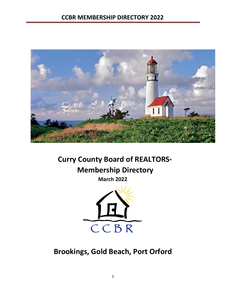

# **Curry County Board of REALTORS®**

**Membership Directory** 

**March 2022**



**Brookings, Gold Beach, Port Orford**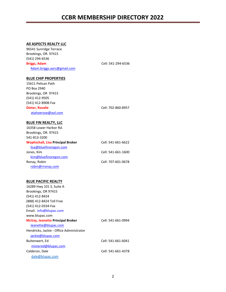#### **All ASPECTS REALTY LLC**

| 96541 Sunridge Terrace<br>Brookings, OR. 97415<br>(541) 294-6536<br>Briggs, Adam<br>Adam.briggs.aarc@gmail.com | Cell: 541-294-6536 |
|----------------------------------------------------------------------------------------------------------------|--------------------|
|                                                                                                                |                    |
| <b>BLUE CHIP PROPERTIES</b>                                                                                    |                    |
| 15611 Pelican Path                                                                                             |                    |
| PO Box 2940                                                                                                    |                    |
| Brookings, OR 97415                                                                                            |                    |
| (541) 412-9505                                                                                                 |                    |
| (541) 412-8908-Fax                                                                                             |                    |
| <b>Dieter, Rosalie</b>                                                                                         | Cell: 702-860-8957 |
| atahoerose@aol.com                                                                                             |                    |
|                                                                                                                |                    |
| <b>BLUE FIN REALTY, LLC</b>                                                                                    |                    |
| 16358 Lower Harbor Rd.                                                                                         |                    |

| 16358 Lower Harbor Rd.                   |                    |
|------------------------------------------|--------------------|
| Brookings, OR. 97415                     |                    |
| 541-813-3200                             |                    |
| <b>Wophschall, Lisa Principal Broker</b> | Cell: 541-661-6622 |
| lisa@bluefinoregon.com                   |                    |
| Jones, Kim                               | Cell: 541-661-1600 |
| kim@bluefinoregon.com                    |                    |
| Ronay, Robin                             | Cell: 707-601-0678 |
| robin@rronay.com                         |                    |
|                                          |                    |

#### **BLUE PACIFIC REALTY**

| 16289 Hwy 101 S, Suite A                 |                    |
|------------------------------------------|--------------------|
| Brookings, OR 97415                      |                    |
| (541) 412-8424                           |                    |
| (888) 412-8424 Toll Free                 |                    |
| (541) 412-0334-Fax                       |                    |
| Email: info@blupac.com                   |                    |
| www.blupac.com                           |                    |
| <b>McVay, Jeanette Principal Broker</b>  | Cell: 541-661-0994 |
| Jeanette@blupac.com                      |                    |
| Hendricks, Jackie - Office Administrator |                    |
| jackie@blupac.com                        |                    |
| Buitenwert, Ed                           | Cell: 541-661-6041 |
| mistered@blupac.com                      |                    |
| Calderon, Dale                           | Cell: 541-661-4378 |
| dale@blupac.com                          |                    |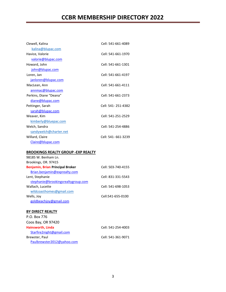| Clewell, Kalina        | Cell: 541-661-4089 |
|------------------------|--------------------|
| kalina@blupac.com      |                    |
| Havice, Valorie        | Cell: 541-661-1970 |
| valorie@blupac.com     |                    |
| Howard, John           | Cell: 541-661-1301 |
| john@blupac.com        |                    |
| Loren, Jan             | Cell: 541-661-4197 |
| janloren@blupac.com    |                    |
| MacLean, Ann           | Cell: 541-661-4111 |
| annmac@blupac.com      |                    |
| Perkins, Diane "Deana" | Cell: 541-661-2373 |
| diane@blupac.com       |                    |
| Pettinger, Sarah       | Cell: 541-251-4382 |
| sarah@blupac.com       |                    |
| Weaver, Kim            | Cell: 541-251-2529 |
| kimberly@bluepac.com   |                    |
| Welch, Sandra          | Cell: 541-254-4886 |
| sandywelch@charter.net |                    |
| Willard, Claire        | Cell: 541-661-3239 |
| Claire@blupac.com      |                    |

#### **BROOKINGS REALTY GROUP -EXP REALTY**

| 98185 W. Benham Ln.                |                    |
|------------------------------------|--------------------|
| Brookings, OR. 97415               |                    |
| Benjamin, Brian Principal Broker   | Cell: 503-740-4155 |
| Brian.benjamin@exprealty.com       |                    |
| Lent, Stephanie                    | Cell: 831-331-5543 |
| stephanie@brookingsrealtygroup.com |                    |
| Wallach, Lucette                   | Cell: 541-698-1053 |
| wildcoasthomes@gmail.com           |                    |
| Wells, Joy                         | Cell:541-655-0100  |
| goldbeachjoy@gmail.com             |                    |

#### **BY DIRECT REALTY**

| P.O. Box 776               |                    |
|----------------------------|--------------------|
| Coos Bay, OR 97420         |                    |
| Hainsworth, Linda          | Cell: 541-254-4003 |
| Starfire2night@gmail.com   |                    |
| Brewster, Paul             | Cell: 541-361-9071 |
| Paulbrewster2012@yahoo.com |                    |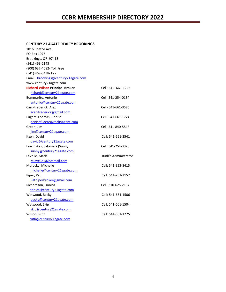#### **CENTURY 21 AGATE REALTY BROOKINGS**

| 1016 Chetco Ave.                       |                      |
|----------------------------------------|----------------------|
| PO Box 1077                            |                      |
| Brookings, OR 97415                    |                      |
| (541) 469-2143                         |                      |
| (800) 637-4682- Toll Free              |                      |
| (541) 469-5438- Fax                    |                      |
| Email: brookings@century21agate.com    |                      |
| www.century21agate.com                 |                      |
| <b>Richard Wilson Principal Broker</b> | Cell: 541- 661-1222  |
| richard@century21agate.com             |                      |
| Bommarito, Antonio                     | Cell: 541-254-0134   |
| antonio@century21agate.com             |                      |
| Carr-Frederick, Alex                   | Cell- 541-661-3586   |
| acarrfrederick@gmail.com               |                      |
| Fugere-Thomas, Denise                  | Cell- 541-661-1724   |
| denisefugere@realtyagent.com           |                      |
| Green, Jim                             | Cell: 541-840-5848   |
| jim@century21agate.com                 |                      |
| Itzen, David                           | Cell: 541-661-2541   |
| david@century21agate.com               |                      |
| Lescinskas, Salomeja (Sunny)           | Cell: 541-254-3070   |
| sunny@century21agate.com               |                      |
| LaVelle, Marla                         | Ruth's Administrator |
| Mlavelle1@hotmail.com                  |                      |
| Morosky, Michelle                      | Cell: 541-953-8415   |
| michelle@century21agate.com            |                      |
| Piper, Pat                             | Cell: 541-251-2152   |
| Patpiperbroker@gmail.com               |                      |
| Richardson, Donica                     | Cell: 310-625-2134   |
| donica@century21agate.com              |                      |
| Watwood, Becky                         | Cell: 541-661-1506   |
| becky@century21agate.com               |                      |
| Watwood, Skip                          | Cell: 541-661-1504   |
| skip@century21agate.com                |                      |
| Wilson, Ruth                           | Cell: 541-661-1225   |
| ruth@century21agate.com                |                      |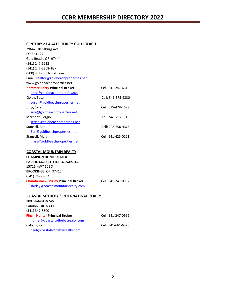#### **CENTURY 21 AGATE REALTY GOLD BEACH**

| 29642 Ellensburg Ave.                        |                    |
|----------------------------------------------|--------------------|
| <b>PO Box 127</b>                            |                    |
| Gold Beach, OR 97444                         |                    |
| (541) 247-6612                               |                    |
| (541) 247-2368- Fax                          |                    |
| (800) 421-8553- Toll Free                    |                    |
| Email: realtor@goldbeachproperties.net       |                    |
| www.goldbeachproperties.net                  |                    |
| <b>Kammer, Larry Principal Broker</b>        | Cell: 541-247-6612 |
| larry@goldbeachproperties.net                |                    |
| Golay, Susan                                 | Cell: 541-373-9330 |
| susan@goldbeachproperties.net                |                    |
| Jung, Sara                                   | Cell: 615-478-4699 |
| sara@goldbeachproperties.net                 |                    |
| Martinez, Sergio                             | Cell: 541-252-0301 |
| sergio@goldbeachproperties.net               |                    |
| Stansell, Ben                                | Cell: 208-290-4326 |
| Ben@goldbeachproperties.net                  |                    |
| Stansell, Mary                               | Cell: 541-425-0121 |
| mary@goldbeachproperties.net                 |                    |
|                                              |                    |
| <b>COASTAL MOUNTAIN REALTY</b>               |                    |
| <b>CHAMPION HOME DEALER</b>                  |                    |
| <b>PACIFIC COAST LITTLE LODGES LLC</b>       |                    |
| 15711 HWY 101 S                              |                    |
| BROOKINGS, OR 97415                          |                    |
| (541) 247-0962                               |                    |
| <b>Chamberlain, Shirley Principal Broker</b> | Cell: 541-247-0962 |
| shirley@coastalmountainrealty.com            |                    |
|                                              |                    |
| <b>COASTAL SOTHEBY'S INTERNATINAL REALTY</b> |                    |
| 100 Seabird Dr SW                            |                    |

| <b>THE IN DITIGATE</b>                |                    |
|---------------------------------------|--------------------|
| Bandon, OR 97411                      |                    |
| (541) 347-5500                        |                    |
| <b>Finch, Hunter Principal Broker</b> | Cell: 541-247-0962 |
| hunter@coastalsothebysrealty.com      |                    |
| Callens, Paul                         | Cell: 541-661-6526 |
| paul@coastalsothebysrealty.com        |                    |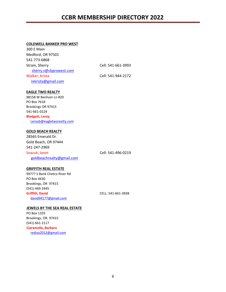#### **COLDWELL BANKER PRO WEST**

| 300 E Main             |                    |
|------------------------|--------------------|
| Medford, OR 97501      |                    |
| 541-773-6868           |                    |
| Strain, Sherry         | Cell: 541-661-3993 |
| sherry.s@cbprowest.com |                    |
| Walker, Krista         | Cell: 541-944-2172 |
| rekrista@gmail.com     |                    |

#### **EAGLE TWO REALTY**

98158 W Benham Ln #20 PO Box 7618 Brookings OR 97415 541-661-0124 **Blodgett, Leroy**  Leroyb@eagletworealty.com

#### **GOLD BEACH REALTY**

28565 Emerald Dr. Gold Beach, OR 97444 541-247-2969 Snazuk, Janet Cell: 541-496-0219 [goldbeachrealty@gmail.com](mailto:goldbeachrealty@gmail.com)

#### **GRIFFITH REAL ESTATE**

99777 S Bank Chetco River Rd PO Box 4430 Brookings, OR 97415 (541) 469-2445 **Griffith, David** CELL: 541-661-3838 [david94177@gmail.com](mailto:david94177@gmail.com) 

#### **JEWELS BY THE SEA REAL ESTATE**

PO Box 1103 Brookings, OR. 97415 (541) 661-2117 **Ciaramella, Barbara**  rediva2012@gmail.com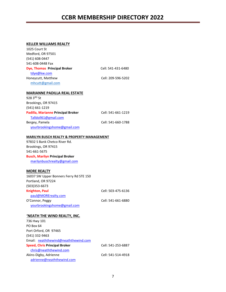#### **KELLER WILLIAMS REALTY**

| 1025 Court St                                                                |                    |
|------------------------------------------------------------------------------|--------------------|
| Medford, OR 97501                                                            |                    |
| (541) 608-0447                                                               |                    |
| 541-608-0448 Fax                                                             |                    |
| Dye, Thomas Principal Broker                                                 | Cell: 541-431-6480 |
| tdye@kw.com                                                                  |                    |
| Honeycutt, Matthew                                                           | Cell: 209-596-5202 |
| mhcutt@gmail.com                                                             |                    |
|                                                                              |                    |
| <b>MARIANNE PADILLA REAL ESTATE</b>                                          |                    |
| 928 $3RD$ St                                                                 |                    |
| Brookings, OR 97415                                                          |                    |
| (541) 661-1219                                                               |                    |
| Padilla, Marianne Principal Broker                                           | Cell: 541-661-1219 |
| Talldoll61@gmail.com                                                         |                    |
| Bergey, Pamela                                                               | Cell: 541-660-1788 |
| yourbrookingshome@gmail.com                                                  |                    |
| <b>MARILYN BUSCH REALTY &amp; PROPERTY MANAGEMENT</b>                        |                    |
| 97832 S Bank Chetco River Rd.                                                |                    |
| Brookings, OR 97415                                                          |                    |
| 541-661-5675                                                                 |                    |
| <b>Busch, Marilyn Principal Broker</b>                                       |                    |
|                                                                              |                    |
| marilynbuschrealty@gmail.com                                                 |                    |
|                                                                              |                    |
| <b>MORE REALTY</b>                                                           |                    |
| 16037 SW Upper Bonners Ferry Rd STE 150                                      |                    |
| Portland, OR 97224                                                           |                    |
| $(503)353 - 6673$                                                            |                    |
| <b>Knighton, Paul</b>                                                        | Cell: 503-475-6136 |
| paul@MORErealty.com                                                          |                    |
| O'Connor, Peggy                                                              | Cell: 541-661-6880 |
| yourbrookingshome@gmail.com                                                  |                    |
|                                                                              |                    |
| 'NEATH THE WIND REALTY, INC.                                                 |                    |
| 736 Hwy 101<br>PO Box 64                                                     |                    |
|                                                                              |                    |
| Port Orford, OR 97465                                                        |                    |
| (541) 332-9463                                                               |                    |
| Email: neaththewind@neaththewind.com<br><b>Speed, Chris Principal Broker</b> | Cell: 541-253-6887 |
| chris@neaththewind.com                                                       |                    |
| Akins-Digby, Adrienne                                                        | Cell: 541-514-4918 |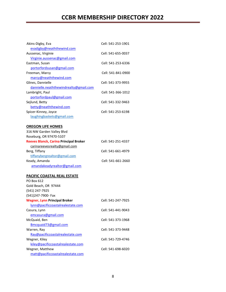| Cell: 541-253-1901 |
|--------------------|
|                    |
| Cell: 541-655-0037 |
|                    |
| Cell: 541-253-6336 |
|                    |
| Cell: 541-841-0900 |
|                    |
| Cell: 541-373-9955 |
|                    |
| Cell: 541-366-1012 |
|                    |
| Cell: 541-332-9463 |
|                    |
| Cell: 541-253-6198 |
|                    |
|                    |
|                    |
|                    |
| Cell: 541-251-4337 |
|                    |
| Cell: 541-661-4979 |
|                    |
| Cell: 541-661-2660 |
|                    |
|                    |
|                    |
|                    |
|                    |
|                    |
|                    |
| Cell: 541-247-7925 |
|                    |
| Cell: 541-441-9043 |
|                    |
| Cell: 541-373-1968 |
|                    |
| Cell: 541-373-9448 |
|                    |
| Cell: 541-729-4746 |
|                    |
| Cell: 541-698-6020 |
|                    |
|                    |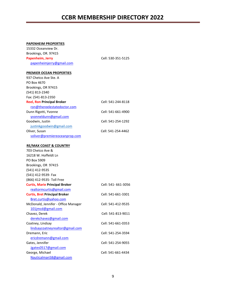#### **PAPENHEIM PROPERTIES**

| 15332 Oceanview Dr.                   |                     |
|---------------------------------------|---------------------|
| Brookings, OR. 97415                  |                     |
| Papenheim, Jerry                      | Cell: 530-351-5125  |
| papenheimjerry@gmail.com              |                     |
| <b>PREMIER OCEAN PROPERTIES</b>       |                     |
| 937 Chetco Ave Ste. A                 |                     |
| PO Box 4670                           |                     |
| Brookings, OR 97415                   |                     |
| (541) 813-2340                        |                     |
| Fax: (541-813-2350                    |                     |
| <b>Reel, Ron Principal Broker</b>     | Cell: 541-244-8118  |
| ron@thereelestatedoctor.com           |                     |
| Dunn Rigotti, Yvonne                  | Cell: 541-661-4900  |
| yvonneldunn@gmail.com                 |                     |
| Goodwin, Justin                       | Cell: 541-254-1292  |
| justinkgoodwin@gmail.com              |                     |
| Oliver, Susan                         | Cell: 541-254-4462  |
| soliver@premiereoceanprop.com         |                     |
| <b>RE/MAX COAST &amp; COUNTRY</b>     |                     |
| 703 Chetco Ave &                      |                     |
| 16218 W. Hoffeldt Ln                  |                     |
| PO Box 5909                           |                     |
| Brookings, OR 97415                   |                     |
| (541) 412-9535                        |                     |
| (541) 412-9539- Fax                   |                     |
| (866) 412-9535- Toll Free             |                     |
| <b>Curtis, Marie Principal Broker</b> | Cell: 541- 661-3056 |
| realtormcurtis@gmail.com              |                     |
| <b>Curtis, Bret Principal Broker</b>  | Cell: 541-661-3301  |
| Bret.curtis@yahoo.com                 |                     |
| McDonald, Jennifer - Office Manager   | Cell: 541-412-9535  |
| 101jmcd@gmail.com                     |                     |
| Chavez, Derek                         | Cell: 541-813-9011  |
| derekchavez@gmail.com                 |                     |
| Coatney, Lindsay                      | Cell: 541-661-0353  |
| lindsaycoatneyrealtor@gmail.com       |                     |
| Dremann, Eric                         | Cell: 541-254-3594  |
| ericdremann@gmail.com                 |                     |
| Gates, Jennifer                       | Cell: 541-254-9055  |
| Jgates0517@gmail.com                  |                     |
| George, Michael                       | Cell: 541-661-4434  |
| Nauticalman58@gmail.com               |                     |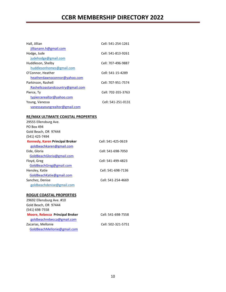| Hall, Jillian                    | Cell: 541-254-1261 |
|----------------------------------|--------------------|
| jillianann.h@gmail.com           |                    |
| Hodge, Jude                      | Cell: 541-813-9261 |
| judehodge@gmail.com              |                    |
| Huddleson, Shelby                | Cell: 707-496-9887 |
| huddlesonhomes@gmail.com         |                    |
| O'Connor, Heather                | Cell: 541-15-4289  |
| heatherdawnoconnor@yahoo.com     |                    |
| Parkinson, Rashell               | Cell: 707-951-7574 |
| Rashellcoastandcountry@gmail.com |                    |
| Pierce, Ty                       | Cell: 702-355-3763 |
| typiercerealtor@yahoo.com        |                    |
| Young, Vanessa                   | Cell: 541-251-0131 |
| vanessayoungrealtor@gmail.com    |                    |
|                                  |                    |

#### **RE/MAX ULTIMATE COASTAL PROPERTIES**

| 29555 Ellensburg Ave.                  |                    |
|----------------------------------------|--------------------|
| PO Box 494                             |                    |
| Gold Beach, OR 97444                   |                    |
| (541) 425-7494                         |                    |
| <b>Kennedy, Karen Principal Broker</b> | Cell: 541-425-0619 |
| goldbeachkaren@gmail.com               |                    |
| Eide, Gloria                           | Cell: 541-698-7050 |
| GoldBeachGloria@gmail.com              |                    |
| Floyd, Greg                            | Cell: 541-499-4823 |
| GoldBeachGreg@gmail.com                |                    |
| Hensley, Katie                         | Cell: 541-698-7136 |
| GoldBeachKatie@gmail.com               |                    |
| Sanchez, Denise                        | Cell: 541-254-4669 |
| goldbeachdenise@gmail.com              |                    |

#### **ROGUE COASTAL PROPERTIES**

| 29692 Ellensburg Ave. #10              |                    |
|----------------------------------------|--------------------|
| Gold Beach, OR 97444                   |                    |
| (541) 698-7558                         |                    |
| <b>Moore, Rebecca Principal Broker</b> | Cell: 541-698-7558 |
| goldbeachrebecca@gmail.com             |                    |
| Zacarias, Mellonie                     | Cell: 502-321-5751 |
| GoldBeachMellonie@gmail.com            |                    |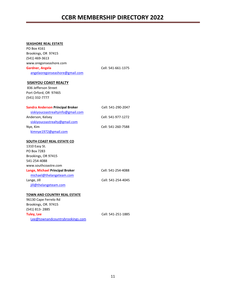#### **SEASHORE REAL ESTATE**

| PO Box 4161                             |                    |
|-----------------------------------------|--------------------|
| Brookings, OR 97415                     |                    |
| (541) 469-3613                          |                    |
| www.oregonseashore.com                  |                    |
| <b>Gardner, Angela</b>                  | Cell: 541-661-1375 |
| angelaoregonseashore@gmail.com          |                    |
|                                         |                    |
| <b>SISKIYOU COAST REALTY</b>            |                    |
| 836 Jefferson Street                    |                    |
| Port Orford, OR 97465                   |                    |
| (541) 332-7777                          |                    |
|                                         |                    |
| <b>Sandra Anderson Principal Broker</b> | Cell: 541-290-2047 |
| siskiyoucoastrealtyinfo@gmail.com       |                    |
| Anderson, Kelsey                        | Cell: 541-977-1272 |
| siskiyoucoastrealty@gmail.com           |                    |
| Nye, Kim                                | Cell: 541-260-7588 |
| kimnye1972@gmail.com                    |                    |
|                                         |                    |
| <b>SOUTH COAST REAL ESTATE CO</b>       |                    |
| 1310 Easy St.                           |                    |
| PO Box 7283                             |                    |
| Brookings, OR 97415                     |                    |
| 541-254-4088                            |                    |
| www.southcoastre.com                    |                    |
| Lange, Michael Principal Broker         | Cell: 541-254-4088 |
| michael@thelangeteam.com                |                    |
| Lange, Jill                             | Cell: 541-254-4045 |
| jill@thelangeteam.com                   |                    |
|                                         |                    |
| TOWN AND COUNTRY REAL ESTATE            |                    |
| 96130 Cape Ferrelo Rd                   |                    |
| Brookings, OR. 97415                    |                    |
| (541) 813-2885                          |                    |
| <b>Tuley, Lee</b>                       | Cell: 541-251-1885 |
| Lee@townandcountrybrookings.com         |                    |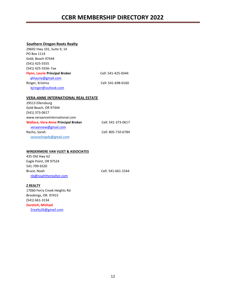#### **Southern Oregon Roots Realty**

| 29692 Hwy 101, Suite 9, 14                 |                    |
|--------------------------------------------|--------------------|
| PO Box 1114                                |                    |
| Gold, Beach 97444                          |                    |
| (541) 425-5555                             |                    |
| (541) 425-5556- Fax                        |                    |
| <b>Flynn, Laurie Principal Broker</b>      | Cell: 541-425-0344 |
| gblaurie@gmail.com                         |                    |
| Ringer, Kristina                           | Cell: 541-698-0160 |
| kjringer@outlook.com                       |                    |
|                                            |                    |
| <b>VERA-ANNE INTERNATIONAL REAL ESTATE</b> |                    |
| 29513 Ellensburg                           |                    |
| Gold Beach, OR 97444                       |                    |

| Gold Beach, OR 97444                       |                    |
|--------------------------------------------|--------------------|
| (541) 373-0617                             |                    |
| www.veraanneinternational.com              |                    |
| <b>Wallace, Vera-Anne Principal Broker</b> | Cell: 541-373-0617 |
| veraannew@gmail.com                        |                    |
| Racho, Sarah                               | Cell: 805-710-6784 |
| sararachopdx@gmail.com                     |                    |

#### **WINDERMERE VAN VLEET & ASSOCIATES**

435 Old Hwy 62 Eagle Point, OR 97524 541-799-6520 Bruce, Noah Cell: 541-661-1544 nb@noahtherealtor.com

#### **Z REALTY**

17060 Ferry Creek Heights Rd Brookings, OR. 97415 (541) 661-3134 **Zoretich, Michael**  [Zrealty26@gmail.com](mailto:Zrealty26@gmail.com)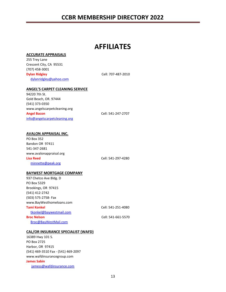## **AFFILIATES**

#### **ACCURATE APPRAISALS**

255 Trey Lane Crescent City, CA 95531 (707) 458-3001 **Dylan Ridgley Cell: 707-487-2010** dylanridgley@yahoo.com

#### **ANGEL'S CARPET CLEANING SERVICE**

94220 7th St. Gold Beach, OR. 97444 (541) 373-0350 www.angelscarpetcleaning.org **Angel Bacon** Cell: 541-247-2707 info@angelscarpetcleaning.org

#### **AVALON APPRAISAL INC.**

PO Box 352 Bandon OR 97411 541-347-2681 [www.avalonappraisal.org](http://www.avalonappraisal.org/)  **Lisa Reed** Cell: 541-297-4280 minnette@peak.org

#### **BAYWEST MORTGAGE COMPANY**

| 937 Chetco Ave Bldg. D   |                    |
|--------------------------|--------------------|
| PO Box 5329              |                    |
| Brookings, OR 97415      |                    |
| (541) 412-2742           |                    |
| (503) 575-2758- Fax      |                    |
| www.BayWesthomeloans.com |                    |
| Tami Konkel              | Cell: 541-251-4080 |
| tkonkel@baywestmail.com  |                    |
| <b>Broc Nelson</b>       | Cell: 541-661-5570 |
| Broc@BayWestMail.com     |                    |

#### **CAL/OR INSURANCE SPECIALIST (WAFD)**

16389 Hwy 101 S. PO Box 2725 Harbor, OR 97415 (541) 469-3510 Fax - (541) 469-2097 www.wafdinsurancegroup.com **James Sabin** jamess@wafdinsurance.com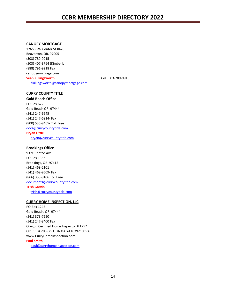#### **CANOPY MORTGAGE**

12655 SW Center St #470 Beaverton, OR. 97005 (503) 789-9915 (503) 407-3764 (Kimberly) (888) 791-9218 Fax canopymortgage.com **Sean Killingsworth** Cell: 503-789-9915 [skillingsworth@canopymortgage.com](mailto:skillingsworth@canopymortgage.com) 

#### **CURRY COUNTY TITLE**

#### **Gold Beach Office**

PO Box 672 Gold Beach OR 97444 (541) 247-6645 (541) 247-6914- Fax (800) 535-9465- Toll Free docs@currycountytitle.com

#### **Bryan Little**

bryan@currycountytitle.com

#### **Brookings Office**

937C Chetco Ave PO Box 1363 Brookings, OR 97415 (541) 469-2101 (541) 469-9509- Fax (866) 355-8106 Toll Free documents@currycountytitle.com **Trish Garvin**  [trish@currycountytitle.com](mailto:trish@currycountytitle.com)

#### **CURRY HOME INSPECTION, LLC**

PO Box 1242 Gold Beach, OR 97444 (541) 373-7250 (541) 247-8400 Fax Oregon Certified Home Inspector # 1757 OR CCB # 208925 ODA # AG-L1039210CPA [www.CurryHomeInspection.com](http://www.curryhomeinspection.com/)  **Paul Smith** 

paul@curryhomeinspection.com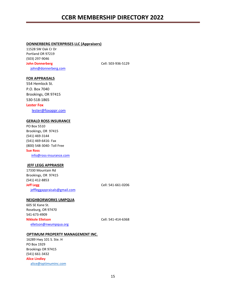#### **DONNERBERG ENTERPRISES LLC (Appraisers)**

11528 SW Oak Cr Dr Portland OR 97219 (503) 297-9046 **John Donnerberg Cell: 503-936-5129** john@donnerberg.com

#### **FOX APPRAISALS**

554 Hemlock St. P.O. Box 7040 Brookings, OR 97415 530-518-1865

#### **Lester Fox**

lester@foxappr.com

#### **GERALD ROSS INSURANCE**

PO Box 5510 Brookings, OR 97415 (541) 469-3144 (541) 469-6416- Fax (800) 548-3040- Toll Free **Sue Ross**  info@ross-insurance.com

#### **JEFF LEGG APPRAISER**

17330 Mountain Rd Brookings, OR 97415 (541) 412-8853 **Jeff Legg** Cell: 541-661-0206 jeffleggappraisals@gmail.com

#### **NEIGHBORWORKS UMPQUA**

605 SE Kane St. Roseburg, OR 97470 541-673-4909 **Nikkole Elletson** Cell: 541-414-6368 elletson@nwumpqua.org

#### **OPTIMUM PROPERTY MANAGEMENT INC.**

16289 Hwy 101 S. Ste. H PO Box 1929 Brookings OR 97415 (541) 661-3432 **Alice Lindley**  [alice@optimuminc.com](mailto:alice@optimuminc.com)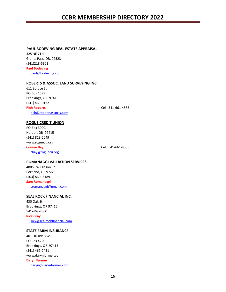#### **PAUL BODEVING REAL ESTATE APPRAISAL**

325 NE 7TH Grants Pass, OR. 97523 (541)218-5901 **Paul Bodeving**  paul@bodeving.com

#### **ROBERTS & ASSOC. LAND SURVEYING INC.**

611 Spruce St. PO Box 1599 Brookings, OR. 97415 (541) 469-0162 **Rich Roberts** Cell: 541-661-4585 rich@robertsassocls.com

#### **ROGUE CREDIT UNION**

PO Box 3000J Harbor, OR 97415 (541) 813-2049 www.roguecu.org **Connie Bay Cell: 541-661-4588** cbay@roguecu.org

#### **ROMANAGGI VALUATION SERVICES**

4805 SW Oleson Rd Portland, OR 97225 (503) 860- 8189 **Sam Romanaggi**  sromanaggi@gmail.com

#### **SEAL ROCK FINANCIAL INC.**

430 Oak St. Brookings, OR 97415 541-469-7000 **Rick Gray** [rick@sealrockfinancial.com](mailto:rick@sealrockfinancial.com)

#### **STATE FARM INSURANCE**

401 Hillside Ave PO Box 4220 Brookings, OR 97415 (541) 469-7431 www.darynfarmer.com **Daryn Farmer**  daryn@darynfarmer.com